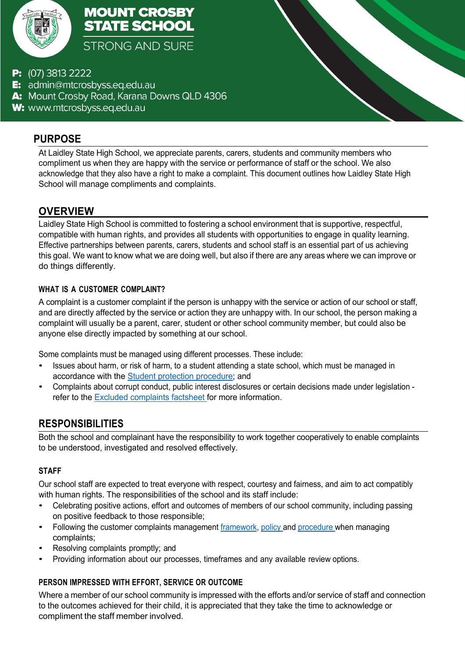

**MOUNT CROSBY STATE SCHOOL STRONG AND SURE** 

- P: (07) 3813 2222
- E: admin@mtcrosbyss.eq.edu.au
- A: Mount Crosby Road, Karana Downs QLD 4306
- W: www.mtcrosbyss.eq.edu.au

### **PURPOSE**

At Laidley State High School, we appreciate parents, carers, students and community members who compliment us when they are happy with the service or performance of staff or the school. We also acknowledge that they also have a right to make a complaint. This document outlines how Laidley State High School will manage compliments and complaints.

**Compliments and Complaints Management**

*LAIDLEY STATE HIGH SCHOOL*

## **OVERVIEW**

Laidley State High School is committed to fostering a school environment that is supportive, respectful, compatible with human rights, and provides all students with opportunities to engage in quality learning. Effective partnerships between parents, carers, students and school staff is an essential part of us achieving this goal. We want to know what we are doing well, but also if there are any areas where we can improve or do things differently.

#### **WHAT IS A CUSTOMER COMPLAINT?**

A complaint is a customer complaint if the person is unhappy with the service or action of our school or staff, and are directly affected by the service or action they are unhappy with. In our school, the person making a complaint will usually be a parent, carer, student or other school community member, but could also be anyone else directly impacted by something at our school.

Some complaints must be managed using different processes. These include:

- Issues about harm, or risk of harm, to a student attending a state school, which must be managed in accordance with the Student protection procedure; and
- Complaints about corrupt conduct, public interest disclosures or certain decisions made under legislation refer to the Excluded complaints factsheet for more information.

## **RESPONSIBILITIES**

Both the school and complainant have the responsibility to work together cooperatively to enable complaints to be understood, investigated and resolved effectively.

#### **STAFF**

Our school staff are expected to treat everyone with respect, courtesy and fairness, and aim to act compatibly with human rights. The responsibilities of the school and its staff include:

- Celebrating positive actions, effort and outcomes of members of our school community, including passing on positive feedback to those responsible;
- Following the customer complaints management framework, policy and procedure when managing complaints;
- Resolving complaints promptly; and
- Providing information about our processes, timeframes and any available review options.

#### **PERSON IMPRESSED WITH EFFORT, SERVICE OR OUTCOME**

Where a member of our school community is impressed with the efforts and/or service of staff and connection to the outcomes achieved for their child, it is appreciated that they take the time to acknowledge or compliment the staff member involved.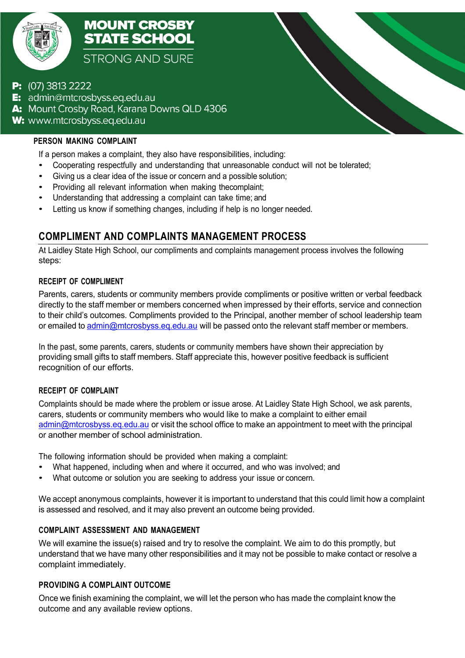

**MOUNT CROSBY STATE SCHOOL STRONG AND SURE** 

### **P:**  $(07)$  3813 2222

**E:** admin@mtcrosbyss.eq.edu.au A: Mount Crosby Road, Karana Downs QLD 4306 W: www.mtcrosbyss.eq.edu.au

#### **PERSON MAKING COMPLAINT**

If a person makes a complaint, they also have responsibilities, including:

• Cooperating respectfully and understanding that unreasonable conduct will not be tolerated;

*LAIDLEY STATE HIGH SCHOOL*

- Giving us <sup>a</sup> clear idea of the issue or concern and <sup>a</sup> possible solution;
- Providing all relevant information when making thecomplaint;
- Understanding that addressing <sup>a</sup> complaint can take time; and
- Letting us know if something changes, including if help is no longer needed.

# **COMPLIMENT AND COMPLAINTS MANAGEMENT PROCESS**

At Laidley State High School, our compliments and complaints management process involves the following steps:

#### **RECEIPT OF COMPLIMENT**

Parents, carers, students or community members provide compliments or positive written or verbal feedback directly to the staff member or members concerned when impressed by their efforts, service and connection to their child's outcomes. Compliments provided to the Principal, another member of school leadership team or emailed to admin@mtcrosbyss.eq.edu.au will be passed onto the relevant staff member or members.

In the past, some parents, carers, students or community members have shown their appreciation by providing small gifts to staff members. Staff appreciate this, however positive feedback is sufficient recognition of our efforts.

#### **RECEIPT OF COMPLAINT**

Complaints should be made where the problem or issue arose. At Laidley State High School, we ask parents, carers, students or community members who would like to make a complaint to either email admin@mtcrosbyss.eq.edu.au or visit the school office to make an appointment to meet with the principal or another member of school administration.

The following information should be provided when making a complaint:

- What happened, including when and where it occurred, and who was involved; and
- What outcome or solution you are seeking to address your issue or concern.

We accept anonymous complaints, however it is important to understand that this could limit how a complaint is assessed and resolved, and it may also prevent an outcome being provided.

#### **COMPLAINT ASSESSMENT AND MANAGEMENT**

We will examine the issue(s) raised and try to resolve the complaint. We aim to do this promptly, but understand that we have many other responsibilities and it may not be possible to make contact or resolve a complaint immediately.

#### **PROVIDING A COMPLAINT OUTCOME**

Once we finish examining the complaint, we will let the person who has made the complaint know the outcome and any available review options.